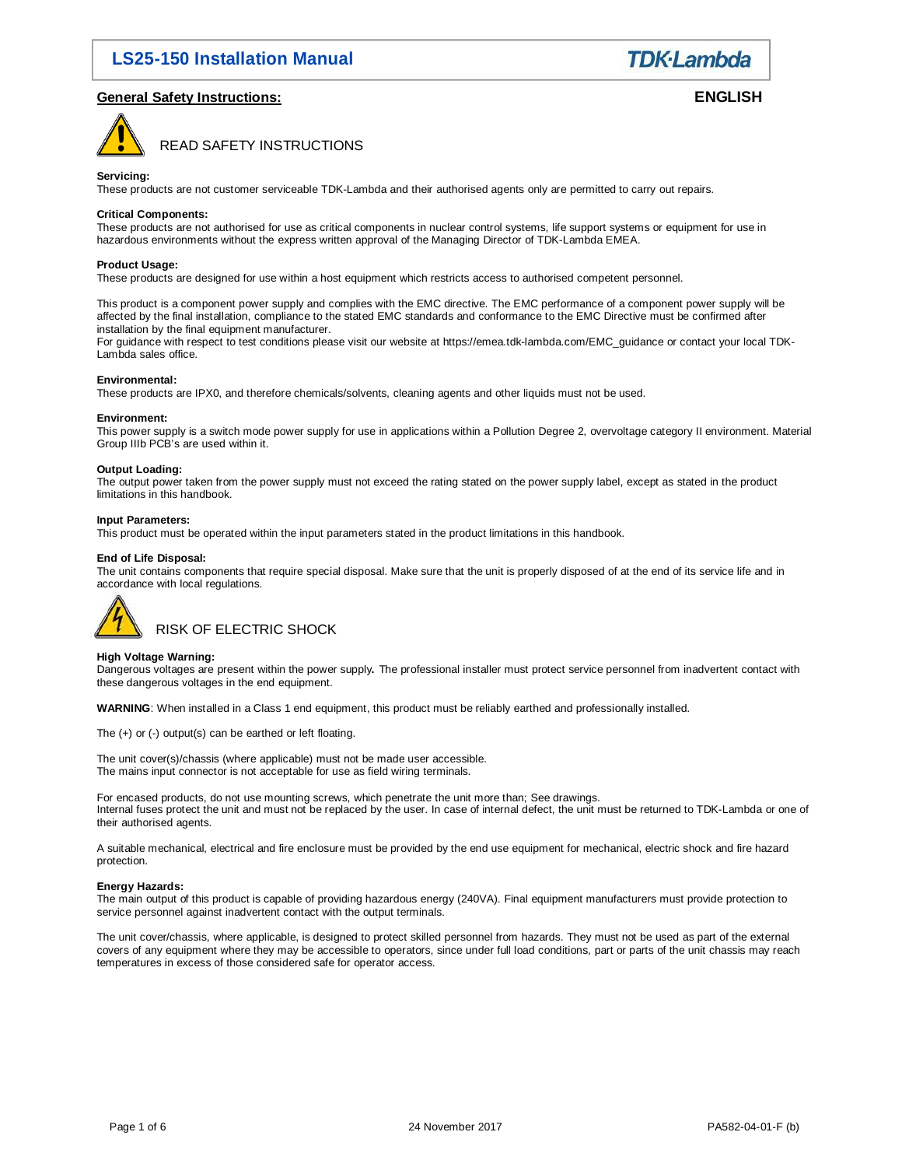**TDK-Lambda** 

### **General Safety Instructions: ENGLISH**



READ SAFETY INSTRUCTIONS

### **Servicing:**

These products are not customer serviceable TDK-Lambda and their authorised agents only are permitted to carry out repairs.

### **Critical Components:**

These products are not authorised for use as critical components in nuclear control systems, life support systems or equipment for use in hazardous environments without the express written approval of the Managing Director of TDK-Lambda EMEA.

### **Product Usage:**

These products are designed for use within a host equipment which restricts access to authorised competent personnel.

This product is a component power supply and complies with the EMC directive. The EMC performance of a component power supply will be affected by the final installation, compliance to the stated EMC standards and conformance to the EMC Directive must be confirmed after installation by the final equipment manufacturer.

For guidance with respect to test conditions please visit our website at https://emea.tdk-lambda.com/EMC\_guidance or contact your local TDK-Lambda sales office.

### **Environmental:**

These products are IPX0, and therefore chemicals/solvents, cleaning agents and other liquids must not be used.

#### **Environment:**

This power supply is a switch mode power supply for use in applications within a Pollution Degree 2, overvoltage category II environment. Material Group IIIb PCB's are used within it.

### **Output Loading:**

The output power taken from the power supply must not exceed the rating stated on the power supply label, except as stated in the product limitations in this handbook.

#### **Input Parameters:**

This product must be operated within the input parameters stated in the product limitations in this handbook.

#### **End of Life Disposal:**

The unit contains components that require special disposal. Make sure that the unit is properly disposed of at the end of its service life and in accordance with local regulations.



RISK OF ELECTRIC SHOCK

### **High Voltage Warning:**

Dangerous voltages are present within the power supply**.** The professional installer must protect service personnel from inadvertent contact with these dangerous voltages in the end equipment.

**WARNING**: When installed in a Class 1 end equipment, this product must be reliably earthed and professionally installed.

The (+) or (-) output(s) can be earthed or left floating.

The unit cover(s)/chassis (where applicable) must not be made user accessible. The mains input connector is not acceptable for use as field wiring terminals.

For encased products, do not use mounting screws, which penetrate the unit more than; See drawings. Internal fuses protect the unit and must not be replaced by the user. In case of internal defect, the unit must be returned to TDK-Lambda or one of their authorised agents.

A suitable mechanical, electrical and fire enclosure must be provided by the end use equipment for mechanical, electric shock and fire hazard protection.

### **Energy Hazards:**

The main output of this product is capable of providing hazardous energy (240VA). Final equipment manufacturers must provide protection to service personnel against inadvertent contact with the output terminals.

The unit cover/chassis, where applicable, is designed to protect skilled personnel from hazards. They must not be used as part of the external covers of any equipment where they may be accessible to operators, since under full load conditions, part or parts of the unit chassis may reach temperatures in excess of those considered safe for operator access.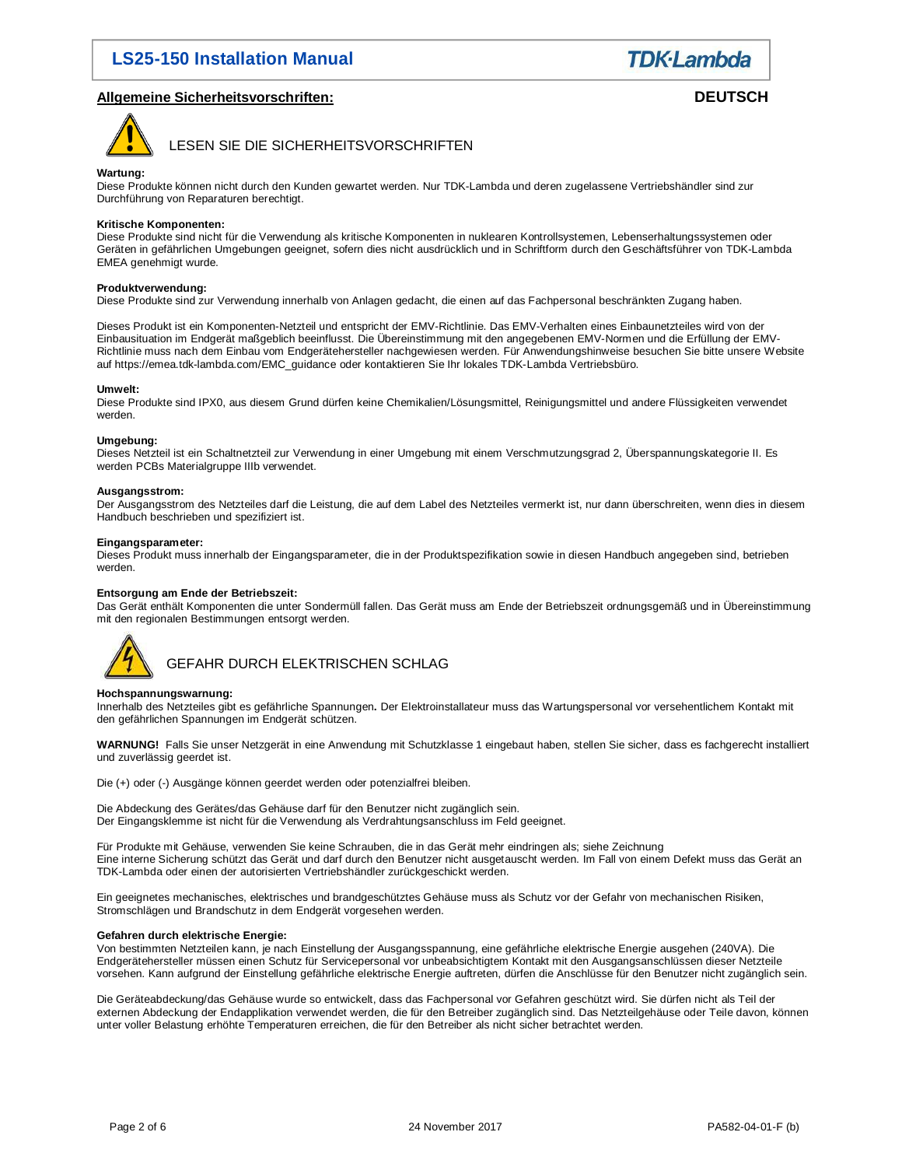### **Allgemeine Sicherheitsvorschriften: DEUTSCH**



LESEN SIE DIE SICHERHEITSVORSCHRIFTEN

### **Wartung:**

Diese Produkte können nicht durch den Kunden gewartet werden. Nur TDK-Lambda und deren zugelassene Vertriebshändler sind zur Durchführung von Reparaturen berechtigt.

### **Kritische Komponenten:**

Diese Produkte sind nicht für die Verwendung als kritische Komponenten in nuklearen Kontrollsystemen, Lebenserhaltungssystemen oder Geräten in gefährlichen Umgebungen geeignet, sofern dies nicht ausdrücklich und in Schriftform durch den Geschäftsführer von TDK-Lambda EMEA genehmigt wurde.

### **Produktverwendung:**

Diese Produkte sind zur Verwendung innerhalb von Anlagen gedacht, die einen auf das Fachpersonal beschränkten Zugang haben.

Dieses Produkt ist ein Komponenten-Netzteil und entspricht der EMV-Richtlinie. Das EMV-Verhalten eines Einbaunetzteiles wird von der Einbausituation im Endgerät maßgeblich beeinflusst. Die Übereinstimmung mit den angegebenen EMV-Normen und die Erfüllung der EMV-Richtlinie muss nach dem Einbau vom Endgerätehersteller nachgewiesen werden. Für Anwendungshinweise besuchen Sie bitte unsere Website auf https://emea.tdk-lambda.com/EMC\_guidance oder kontaktieren Sie Ihr lokales TDK-Lambda Vertriebsbüro.

### **Umwelt:**

Diese Produkte sind IPX0, aus diesem Grund dürfen keine Chemikalien/Lösungsmittel, Reinigungsmittel und andere Flüssigkeiten verwendet werden.

### **Umgebung:**

Dieses Netzteil ist ein Schaltnetzteil zur Verwendung in einer Umgebung mit einem Verschmutzungsgrad 2, Überspannungskategorie II. Es werden PCBs Materialgruppe IIIb verwendet.

### **Ausgangsstrom:**

Der Ausgangsstrom des Netzteiles darf die Leistung, die auf dem Label des Netzteiles vermerkt ist, nur dann überschreiten, wenn dies in diesem Handbuch beschrieben und spezifiziert ist.

### **Eingangsparameter:**

Dieses Produkt muss innerhalb der Eingangsparameter, die in der Produktspezifikation sowie in diesen Handbuch angegeben sind, betrieben werden.

### **Entsorgung am Ende der Betriebszeit:**

Das Gerät enthält Komponenten die unter Sondermüll fallen. Das Gerät muss am Ende der Betriebszeit ordnungsgemäß und in Übereinstimmung mit den regionalen Bestimmungen entsorgt werden.



### GEFAHR DURCH ELEKTRISCHEN SCHLAG

### **Hochspannungswarnung:**

Innerhalb des Netzteiles gibt es gefährliche Spannungen**.** Der Elektroinstallateur muss das Wartungspersonal vor versehentlichem Kontakt mit den gefährlichen Spannungen im Endgerät schützen.

**WARNUNG!** Falls Sie unser Netzgerät in eine Anwendung mit Schutzklasse 1 eingebaut haben, stellen Sie sicher, dass es fachgerecht installiert und zuverlässig geerdet ist.

Die (+) oder (-) Ausgänge können geerdet werden oder potenzialfrei bleiben.

Die Abdeckung des Gerätes/das Gehäuse darf für den Benutzer nicht zugänglich sein. Der Eingangsklemme ist nicht für die Verwendung als Verdrahtungsanschluss im Feld geeignet.

Für Produkte mit Gehäuse, verwenden Sie keine Schrauben, die in das Gerät mehr eindringen als; siehe Zeichnung Eine interne Sicherung schützt das Gerät und darf durch den Benutzer nicht ausgetauscht werden. Im Fall von einem Defekt muss das Gerät an TDK-Lambda oder einen der autorisierten Vertriebshändler zurückgeschickt werden.

Ein geeignetes mechanisches, elektrisches und brandgeschütztes Gehäuse muss als Schutz vor der Gefahr von mechanischen Risiken, Stromschlägen und Brandschutz in dem Endgerät vorgesehen werden.

### **Gefahren durch elektrische Energie:**

Von bestimmten Netzteilen kann, je nach Einstellung der Ausgangsspannung, eine gefährliche elektrische Energie ausgehen (240VA). Die Endgerätehersteller müssen einen Schutz für Servicepersonal vor unbeabsichtigtem Kontakt mit den Ausgangsanschlüssen dieser Netzteile vorsehen. Kann aufgrund der Einstellung gefährliche elektrische Energie auftreten, dürfen die Anschlüsse für den Benutzer nicht zugänglich sein.

Die Geräteabdeckung/das Gehäuse wurde so entwickelt, dass das Fachpersonal vor Gefahren geschützt wird. Sie dürfen nicht als Teil der externen Abdeckung der Endapplikation verwendet werden, die für den Betreiber zugänglich sind. Das Netzteilgehäuse oder Teile davon, können unter voller Belastung erhöhte Temperaturen erreichen, die für den Betreiber als nicht sicher betrachtet werden.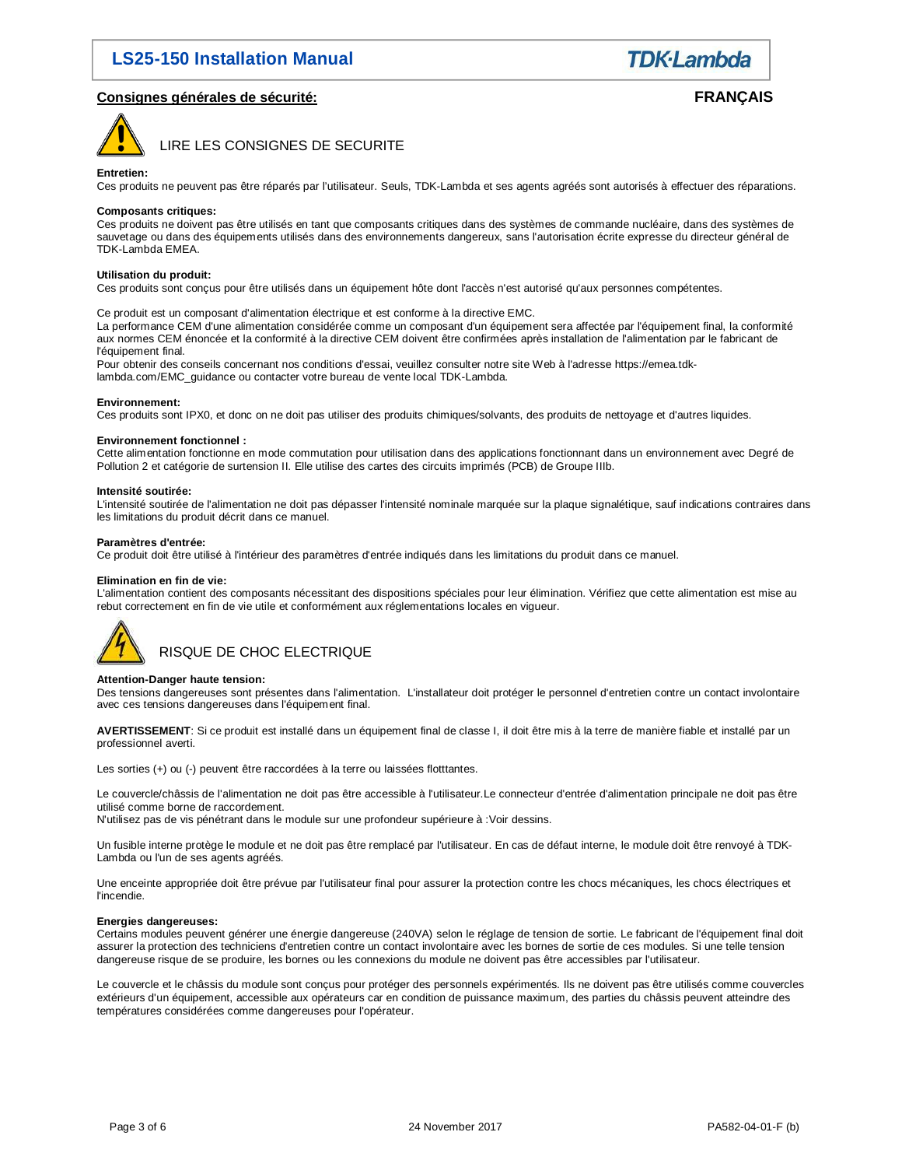**TDK**·Lambda

### **Consignes générales de sécurité: FRANÇAIS**



### LIRE LES CONSIGNES DE SECURITE

#### **Entretien:**

Ces produits ne peuvent pas être réparés par l'utilisateur. Seuls, TDK-Lambda et ses agents agréés sont autorisés à effectuer des réparations.

### **Composants critiques:**

Ces produits ne doivent pas être utilisés en tant que composants critiques dans des systèmes de commande nucléaire, dans des systèmes de sauvetage ou dans des équipements utilisés dans des environnements dangereux, sans l'autorisation écrite expresse du directeur général de TDK-Lambda EMEA.

### **Utilisation du produit:**

Ces produits sont conçus pour être utilisés dans un équipement hôte dont l'accès n'est autorisé qu'aux personnes compétentes.

Ce produit est un composant d'alimentation électrique et est conforme à la directive EMC.

La performance CEM d'une alimentation considérée comme un composant d'un équipement sera affectée par l'équipement final, la conformité aux normes CEM énoncée et la conformité à la directive CEM doivent être confirmées après installation de l'alimentation par le fabricant de l'équipement final.

Pour obtenir des conseils concernant nos conditions d'essai, veuillez consulter notre site Web à l'adresse https://emea.tdklambda.com/EMC\_guidance ou contacter votre bureau de vente local TDK-Lambda.

#### **Environnement:**

Ces produits sont IPX0, et donc on ne doit pas utiliser des produits chimiques/solvants, des produits de nettoyage et d'autres liquides.

#### **Environnement fonctionnel :**

Cette alimentation fonctionne en mode commutation pour utilisation dans des applications fonctionnant dans un environnement avec Degré de Pollution 2 et catégorie de surtension II. Elle utilise des cartes des circuits imprimés (PCB) de Groupe IIIb.

#### **Intensité soutirée:**

L'intensité soutirée de l'alimentation ne doit pas dépasser l'intensité nominale marquée sur la plaque signalétique, sauf indications contraires dans les limitations du produit décrit dans ce manuel.

#### **Paramètres d'entrée:**

Ce produit doit être utilisé à l'intérieur des paramètres d'entrée indiqués dans les limitations du produit dans ce manuel.

#### **Elimination en fin de vie:**

L'alimentation contient des composants nécessitant des dispositions spéciales pour leur élimination. Vérifiez que cette alimentation est mise au rebut correctement en fin de vie utile et conformément aux réglementations locales en vigueur.



### **Attention-Danger haute tension:**

Des tensions dangereuses sont présentes dans l'alimentation. L'installateur doit protéger le personnel d'entretien contre un contact involontaire avec ces tensions dangereuses dans l'équipement final.

**AVERTISSEMENT**: Si ce produit est installé dans un équipement final de classe I, il doit être mis à la terre de manière fiable et installé par un professionnel averti.

Les sorties (+) ou (-) peuvent être raccordées à la terre ou laissées flotttantes.

Le couvercle/châssis de l'alimentation ne doit pas être accessible à l'utilisateur.Le connecteur d'entrée d'alimentation principale ne doit pas être utilisé comme borne de raccordement.

N'utilisez pas de vis pénétrant dans le module sur une profondeur supérieure à :Voir dessins.

Un fusible interne protège le module et ne doit pas être remplacé par l'utilisateur. En cas de défaut interne, le module doit être renvoyé à TDK-Lambda ou l'un de ses agents agréés.

Une enceinte appropriée doit être prévue par l'utilisateur final pour assurer la protection contre les chocs mécaniques, les chocs électriques et l'incendie.

### **Energies dangereuses:**

Certains modules peuvent générer une énergie dangereuse (240VA) selon le réglage de tension de sortie. Le fabricant de l'équipement final doit assurer la protection des techniciens d'entretien contre un contact involontaire avec les bornes de sortie de ces modules. Si une telle tension dangereuse risque de se produire, les bornes ou les connexions du module ne doivent pas être accessibles par l'utilisateur.

Le couvercle et le châssis du module sont conçus pour protéger des personnels expérimentés. Ils ne doivent pas être utilisés comme couvercles extérieurs d'un équipement, accessible aux opérateurs car en condition de puissance maximum, des parties du châssis peuvent atteindre des températures considérées comme dangereuses pour l'opérateur.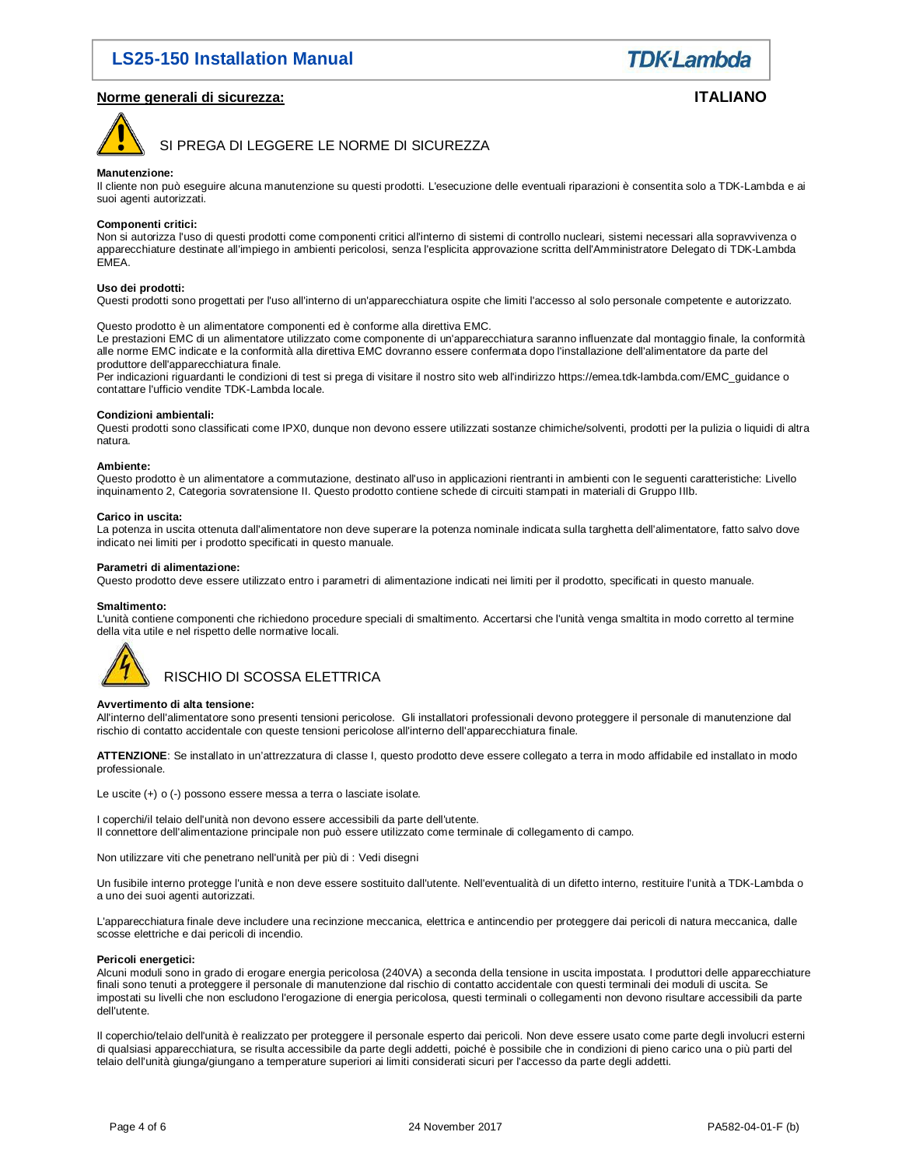### **Norme generali di sicurezza: ITALIANO**

**TDK**·Lambda



SI PREGA DI LEGGERE LE NORME DI SICUREZZA

#### **Manutenzione:**

Il cliente non può eseguire alcuna manutenzione su questi prodotti. L'esecuzione delle eventuali riparazioni è consentita solo a TDK-Lambda e ai suoi agenti autorizzati.

#### **Componenti critici:**

Non si autorizza l'uso di questi prodotti come componenti critici all'interno di sistemi di controllo nucleari, sistemi necessari alla sopravvivenza o apparecchiature destinate all'impiego in ambienti pericolosi, senza l'esplicita approvazione scritta dell'Amministratore Delegato di TDK-Lambda EMEA.

### **Uso dei prodotti:**

Questi prodotti sono progettati per l'uso all'interno di un'apparecchiatura ospite che limiti l'accesso al solo personale competente e autorizzato.

Questo prodotto è un alimentatore componenti ed è conforme alla direttiva EMC.

Le prestazioni EMC di un alimentatore utilizzato come componente di un'apparecchiatura saranno influenzate dal montaggio finale, la conformità alle norme EMC indicate e la conformità alla direttiva EMC dovranno essere confermata dopo l'installazione dell'alimentatore da parte del produttore dell'apparecchiatura finale.

Per indicazioni riguardanti le condizioni di test si prega di visitare il nostro sito web all'indirizzo https://emea.tdk-lambda.com/EMC\_guidance o contattare l'ufficio vendite TDK-Lambda locale.

### **Condizioni ambientali:**

Questi prodotti sono classificati come IPX0, dunque non devono essere utilizzati sostanze chimiche/solventi, prodotti per la pulizia o liquidi di altra natura.

#### **Ambiente:**

Questo prodotto è un alimentatore a commutazione, destinato all'uso in applicazioni rientranti in ambienti con le seguenti caratteristiche: Livello inquinamento 2, Categoria sovratensione II. Questo prodotto contiene schede di circuiti stampati in materiali di Gruppo IIIb.

#### **Carico in uscita:**

La potenza in uscita ottenuta dall'alimentatore non deve superare la potenza nominale indicata sulla targhetta dell'alimentatore, fatto salvo dove indicato nei limiti per i prodotto specificati in questo manuale.

### **Parametri di alimentazione:**

Questo prodotto deve essere utilizzato entro i parametri di alimentazione indicati nei limiti per il prodotto, specificati in questo manuale.

#### **Smaltimento:**

L'unità contiene componenti che richiedono procedure speciali di smaltimento. Accertarsi che l'unità venga smaltita in modo corretto al termine della vita utile e nel rispetto delle normative locali.



### **Avvertimento di alta tensione:**

All'interno dell'alimentatore sono presenti tensioni pericolose. Gli installatori professionali devono proteggere il personale di manutenzione dal rischio di contatto accidentale con queste tensioni pericolose all'interno dell'apparecchiatura finale.

**ATTENZIONE**: Se installato in un'attrezzatura di classe I, questo prodotto deve essere collegato a terra in modo affidabile ed installato in modo professionale.

Le uscite (+) o (-) possono essere messa a terra o lasciate isolate.

I coperchi/il telaio dell'unità non devono essere accessibili da parte dell'utente. Il connettore dell'alimentazione principale non può essere utilizzato come terminale di collegamento di campo.

Non utilizzare viti che penetrano nell'unità per più di : Vedi disegni

Un fusibile interno protegge l'unità e non deve essere sostituito dall'utente. Nell'eventualità di un difetto interno, restituire l'unità a TDK-Lambda o a uno dei suoi agenti autorizzati.

L'apparecchiatura finale deve includere una recinzione meccanica, elettrica e antincendio per proteggere dai pericoli di natura meccanica, dalle scosse elettriche e dai pericoli di incendio.

### **Pericoli energetici:**

Alcuni moduli sono in grado di erogare energia pericolosa (240VA) a seconda della tensione in uscita impostata. I produttori delle apparecchiature finali sono tenuti a proteggere il personale di manutenzione dal rischio di contatto accidentale con questi terminali dei moduli di uscita. Se impostati su livelli che non escludono l'erogazione di energia pericolosa, questi terminali o collegamenti non devono risultare accessibili da parte dell'utente.

Il coperchio/telaio dell'unità è realizzato per proteggere il personale esperto dai pericoli. Non deve essere usato come parte degli involucri esterni di qualsiasi apparecchiatura, se risulta accessibile da parte degli addetti, poiché è possibile che in condizioni di pieno carico una o più parti del telaio dell'unità giunga/giungano a temperature superiori ai limiti considerati sicuri per l'accesso da parte degli addetti.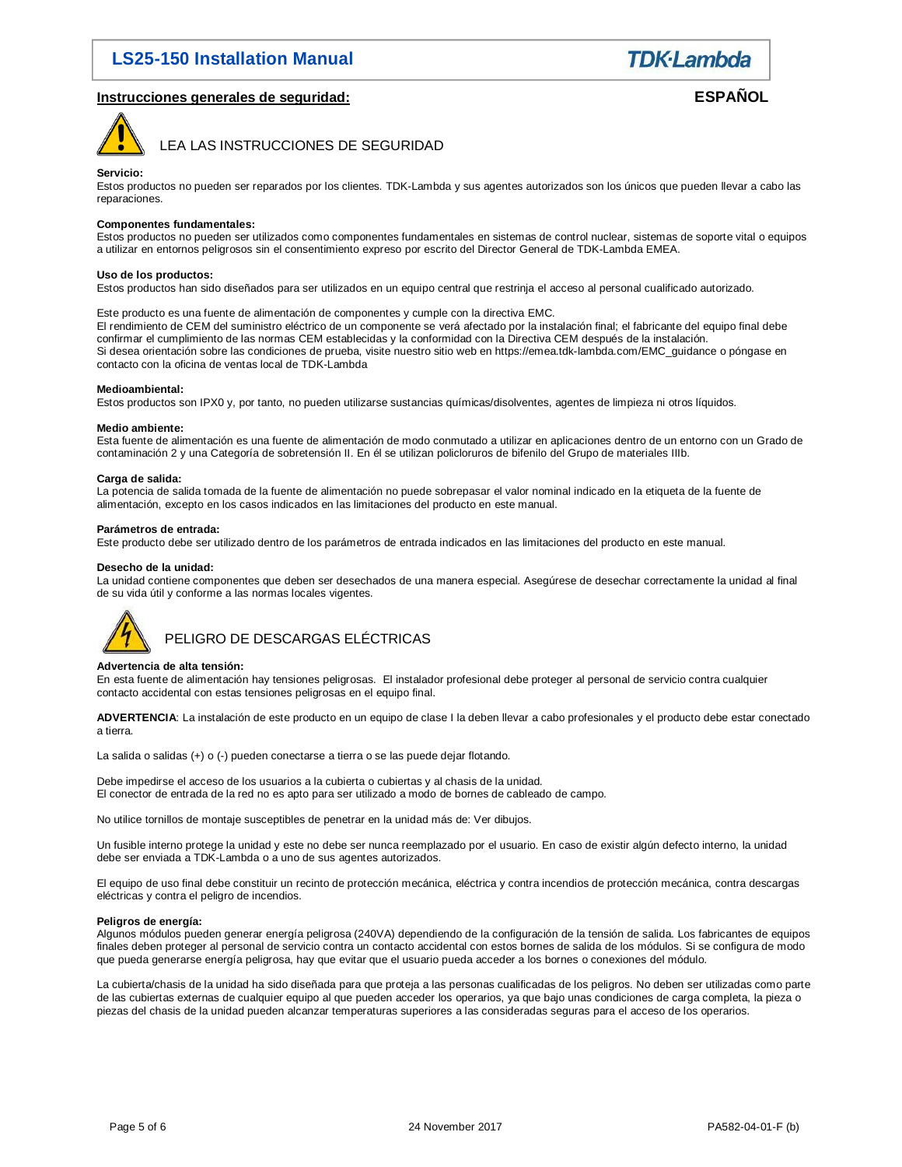**TDK**·Lambda

### **Instrucciones generales de seguridad: ESPAÑOL**



LEA LAS INSTRUCCIONES DE SEGURIDAD

### **Servicio:**

Estos productos no pueden ser reparados por los clientes. TDK-Lambda y sus agentes autorizados son los únicos que pueden llevar a cabo las reparaciones.

#### **Componentes fundamentales:**

Estos productos no pueden ser utilizados como componentes fundamentales en sistemas de control nuclear, sistemas de soporte vital o equipos a utilizar en entornos peligrosos sin el consentimiento expreso por escrito del Director General de TDK-Lambda EMEA.

### **Uso de los productos:**

Estos productos han sido diseñados para ser utilizados en un equipo central que restrinja el acceso al personal cualificado autorizado.

### Este producto es una fuente de alimentación de componentes y cumple con la directiva EMC.

El rendimiento de CEM del suministro eléctrico de un componente se verá afectado por la instalación final; el fabricante del equipo final debe confirmar el cumplimiento de las normas CEM establecidas y la conformidad con la Directiva CEM después de la instalación. Si desea orientación sobre las condiciones de prueba, visite nuestro sitio web en https://emea.tdk-lambda.com/EMC\_guidance o póngase en contacto con la oficina de ventas local de TDK-Lambda

### **Medioambiental:**

Estos productos son IPX0 y, por tanto, no pueden utilizarse sustancias químicas/disolventes, agentes de limpieza ni otros líquidos.

#### **Medio ambiente:**

Esta fuente de alimentación es una fuente de alimentación de modo conmutado a utilizar en aplicaciones dentro de un entorno con un Grado de contaminación 2 y una Categoría de sobretensión II. En él se utilizan policloruros de bifenilo del Grupo de materiales IIIb.

#### **Carga de salida:**

La potencia de salida tomada de la fuente de alimentación no puede sobrepasar el valor nominal indicado en la etiqueta de la fuente de alimentación, excepto en los casos indicados en las limitaciones del producto en este manual.

#### **Parámetros de entrada:**

Este producto debe ser utilizado dentro de los parámetros de entrada indicados en las limitaciones del producto en este manual.

#### **Desecho de la unidad:**

La unidad contiene componentes que deben ser desechados de una manera especial. Asegúrese de desechar correctamente la unidad al final de su vida útil y conforme a las normas locales vigentes.



### PELIGRO DE DESCARGAS ELÉCTRICAS

### **Advertencia de alta tensión:**

En esta fuente de alimentación hay tensiones peligrosas. El instalador profesional debe proteger al personal de servicio contra cualquier contacto accidental con estas tensiones peligrosas en el equipo final.

**ADVERTENCIA**: La instalación de este producto en un equipo de clase I la deben llevar a cabo profesionales y el producto debe estar conectado a tierra.

La salida o salidas (+) o (-) pueden conectarse a tierra o se las puede dejar flotando.

Debe impedirse el acceso de los usuarios a la cubierta o cubiertas y al chasis de la unidad. El conector de entrada de la red no es apto para ser utilizado a modo de bornes de cableado de campo.

No utilice tornillos de montaje susceptibles de penetrar en la unidad más de: Ver dibujos.

Un fusible interno protege la unidad y este no debe ser nunca reemplazado por el usuario. En caso de existir algún defecto interno, la unidad debe ser enviada a TDK-Lambda o a uno de sus agentes autorizados.

El equipo de uso final debe constituir un recinto de protección mecánica, eléctrica y contra incendios de protección mecánica, contra descargas eléctricas y contra el peligro de incendios.

### **Peligros de energía:**

Algunos módulos pueden generar energía peligrosa (240VA) dependiendo de la configuración de la tensión de salida. Los fabricantes de equipos finales deben proteger al personal de servicio contra un contacto accidental con estos bornes de salida de los módulos. Si se configura de modo que pueda generarse energía peligrosa, hay que evitar que el usuario pueda acceder a los bornes o conexiones del módulo.

La cubierta/chasis de la unidad ha sido diseñada para que proteja a las personas cualificadas de los peligros. No deben ser utilizadas como parte de las cubiertas externas de cualquier equipo al que pueden acceder los operarios, ya que bajo unas condiciones de carga completa, la pieza o piezas del chasis de la unidad pueden alcanzar temperaturas superiores a las consideradas seguras para el acceso de los operarios.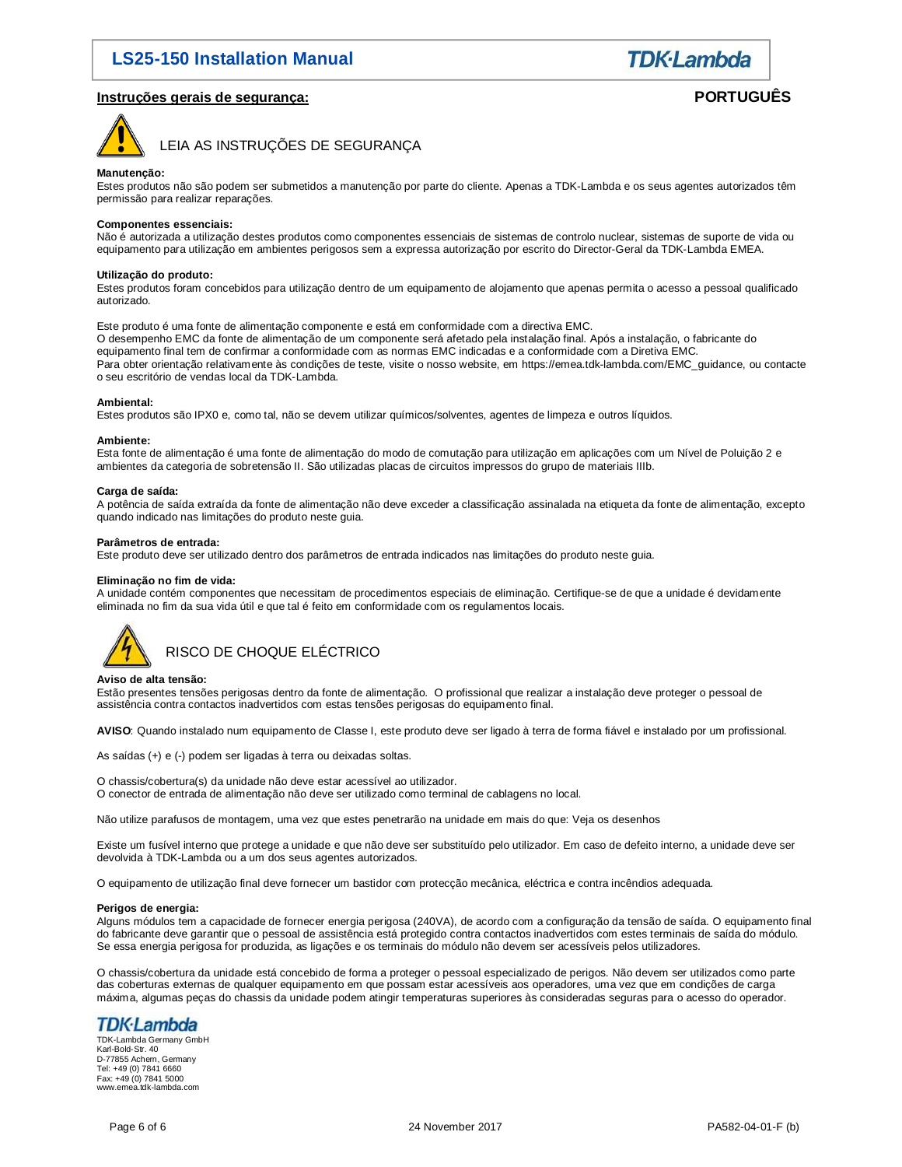

### **Instruções gerais de segurança: PORTUGUÊS**



LEIA AS INSTRUÇÕES DE SEGURANÇA

### **Manutenção:**

Estes produtos não são podem ser submetidos a manutenção por parte do cliente. Apenas a TDK-Lambda e os seus agentes autorizados têm permissão para realizar reparações.

### **Componentes essenciais:**

Não é autorizada a utilização destes produtos como componentes essenciais de sistemas de controlo nuclear, sistemas de suporte de vida ou equipamento para utilização em ambientes perigosos sem a expressa autorização por escrito do Director-Geral da TDK-Lambda EMEA.

### **Utilização do produto:**

Estes produtos foram concebidos para utilização dentro de um equipamento de alojamento que apenas permita o acesso a pessoal qualificado autorizado.

Este produto é uma fonte de alimentação componente e está em conformidade com a directiva EMC. O desempenho EMC da fonte de alimentação de um componente será afetado pela instalação final. Após a instalação, o fabricante do equipamento final tem de confirmar a conformidade com as normas EMC indicadas e a conformidade com a Diretiva EMC. Para obter orientação relativamente às condições de teste, visite o nosso website, em https://emea.tdk-lambda.com/EMC\_guidance, ou contacte o seu escritório de vendas local da TDK-Lambda.

#### **Ambiental:**

Estes produtos são IPX0 e, como tal, não se devem utilizar químicos/solventes, agentes de limpeza e outros líquidos.

#### **Ambiente:**

Esta fonte de alimentação é uma fonte de alimentação do modo de comutação para utilização em aplicações com um Nível de Poluição 2 e ambientes da categoria de sobretensão II. São utilizadas placas de circuitos impressos do grupo de materiais IIIb.

#### **Carga de saída:**

A potência de saída extraída da fonte de alimentação não deve exceder a classificação assinalada na etiqueta da fonte de alimentação, excepto quando indicado nas limitações do produto neste guia.

#### **Parâmetros de entrada:**

Este produto deve ser utilizado dentro dos parâmetros de entrada indicados nas limitações do produto neste guia.

### **Eliminação no fim de vida:**

A unidade contém componentes que necessitam de procedimentos especiais de eliminação. Certifique-se de que a unidade é devidamente eliminada no fim da sua vida útil e que tal é feito em conformidade com os regulamentos locais.



### **Aviso de alta tensão:**

Estão presentes tensões perigosas dentro da fonte de alimentação. O profissional que realizar a instalação deve proteger o pessoal de assistência contra contactos inadvertidos com estas tensões perigosas do equipamento final.

**AVISO**: Quando instalado num equipamento de Classe I, este produto deve ser ligado à terra de forma fiável e instalado por um profissional.

As saídas (+) e (-) podem ser ligadas à terra ou deixadas soltas.

O chassis/cobertura(s) da unidade não deve estar acessível ao utilizador.

O conector de entrada de alimentação não deve ser utilizado como terminal de cablagens no local.

Não utilize parafusos de montagem, uma vez que estes penetrarão na unidade em mais do que: Veja os desenhos

Existe um fusível interno que protege a unidade e que não deve ser substituído pelo utilizador. Em caso de defeito interno, a unidade deve ser devolvida à TDK-Lambda ou a um dos seus agentes autorizados.

O equipamento de utilização final deve fornecer um bastidor com protecção mecânica, eléctrica e contra incêndios adequada.

### **Perigos de energia:**

Alguns módulos tem a capacidade de fornecer energia perigosa (240VA), de acordo com a configuração da tensão de saída. O equipamento final do fabricante deve garantir que o pessoal de assistência está protegido contra contactos inadvertidos com estes terminais de saída do módulo. Se essa energia perigosa for produzida, as ligações e os terminais do módulo não devem ser acessíveis pelos utilizadores.

O chassis/cobertura da unidade está concebido de forma a proteger o pessoal especializado de perigos. Não devem ser utilizados como parte das coberturas externas de qualquer equipamento em que possam estar acessíveis aos operadores, uma vez que em condições de carga máxima, algumas peças do chassis da unidade podem atingir temperaturas superiores às consideradas seguras para o acesso do operador.

# TDK·Lambda

TDK-Lambda Germany GmbH Karl-Bold-Str. 40 D-77855 Achern, Germany Tel: +49 (0) 7841 6660 Fax: +49 (0) 7841 5000 www.emea.tdk-lambda.com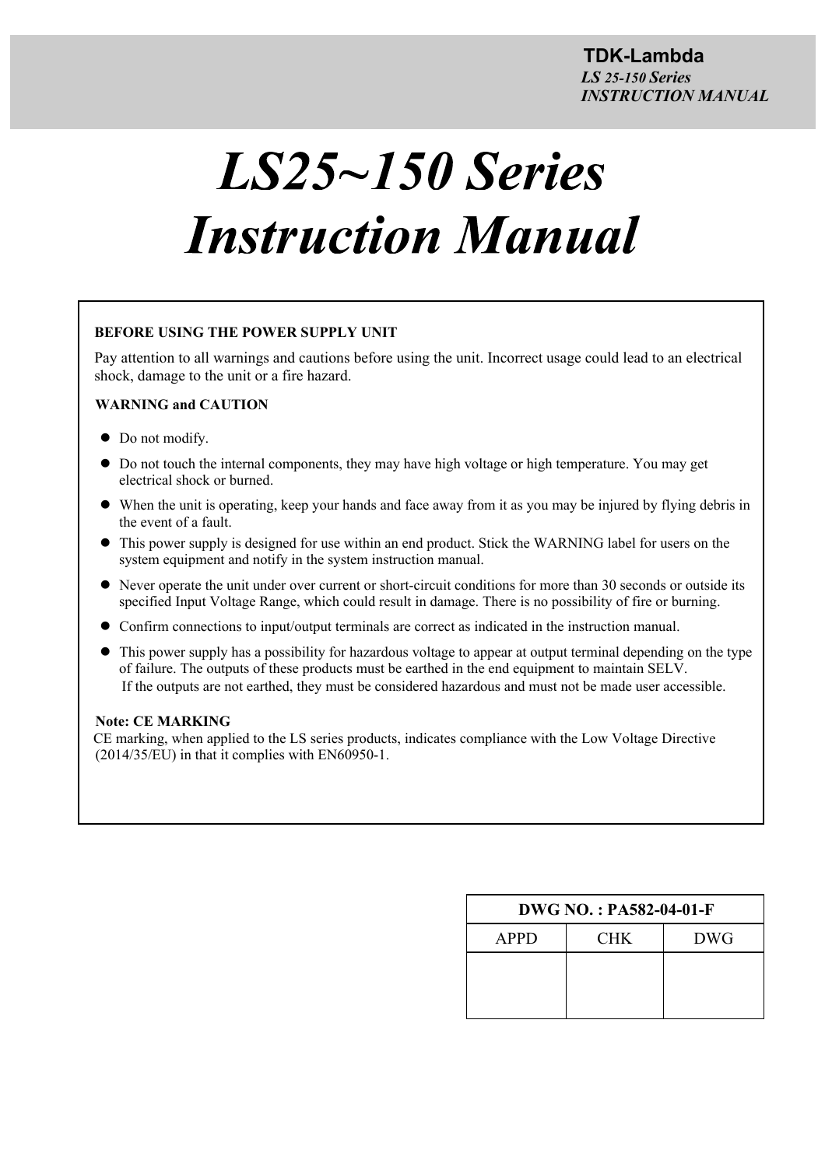# $LS25 \sim 150$  Series **Instruction Manual**

### **BEFORE USING THE POWER SUPPLY UNIT**

Pay attention to all warnings and cautions before using the unit. Incorrect usage could lead to an electrical shock, damage to the unit or a fire hazard.

### **WARNING and CAUTION**

- Do not modify.
- Do not touch the internal components, they may have high voltage or high temperature. You may get electrical shock or burned.
- When the unit is operating, keep your hands and face away from it as you may be injured by flying debris in the event of a fault.
- This power supply is designed for use within an end product. Stick the WARNING label for users on the system equipment and notify in the system instruction manual.
- Never operate the unit under over current or short-circuit conditions for more than 30 seconds or outside its specified Input Voltage Range, which could result in damage. There is no possibility of fire or burning.
- Confirm connections to input/output terminals are correct as indicated in the instruction manual.
- This power supply has a possibility for hazardous voltage to appear at output terminal depending on the type of failure. The outputs of these products must be earthed in the end equipment to maintain SELV. If the outputs are not earthed, they must be considered hazardous and must not be made user accessible.

### **Note: CE MARKING**

CE marking, when applied to the LS series products, indicates compliance with the Low Voltage Directive (2014/35/EU) in that it complies with EN60950-1.

| $DWG NO. : PA582-04-01-F$ |            |  |  |  |  |
|---------------------------|------------|--|--|--|--|
| CHK.                      | <b>DWG</b> |  |  |  |  |
|                           |            |  |  |  |  |
|                           |            |  |  |  |  |
|                           |            |  |  |  |  |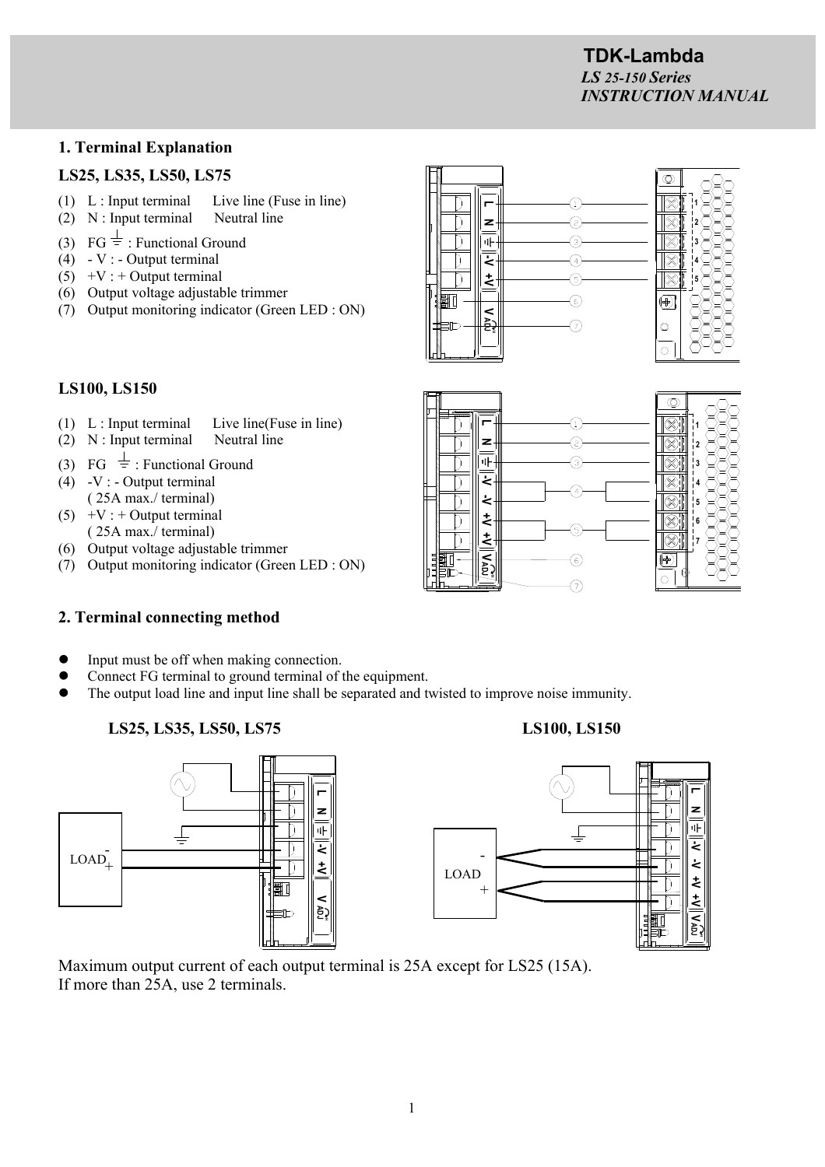$\circledcirc$  $\otimes$ 

 $\otimes$ 

### **1. Terminal Explanation**

### **LS25, LS35, LS50, LS75**

- (1)  $L$  : Input terminal Live line (Fuse in line)
- (2) N : Input terminal Neutral line
- (3) FG  $\frac{1}{5}$ : Functional Ground
- $(4)$  V : Output terminal
- $(5)$  +V : + Output terminal
- (6) Output voltage adjustable trimmer
- (7) Output monitoring indicator (Green LED : ON)



G @

 $\circled{3}$ 

6  $\widehat{\left( \mathbf{z}\right) }$ 

**L N**

٩F

Ł

 $\ddot{\sim}$ 

 $\overline{\phantom{1}}$ 

٦

ך

**V**

**ADJ -V -V +V +V**

 $\overline{\overline{z}}$  $\dot{\mathbf{z}}$ 

### **LS100, LS150**

- (1) L : Input terminal Live line(Fuse in line)
- (2) N : Input terminal Neutral line
- (3) FG  $\frac{1}{5}$ : Functional Ground
- $(4)$  -V : Output terminal ( 25A max./ terminal)
- $(5)$  +V : + Output terminal ( 25A max./ terminal)
- (6) Output voltage adjustable trimmer
- (7) Output monitoring indicator (Green LED : ON)

# **2. Terminal connecting method**

- Input must be off when making connection.
- Connect FG terminal to ground terminal of the equipment.
- The output load line and input line shall be separated and twisted to improve noise immunity.

# LS25, LS35, LS50, LS75 LS100, LS150





Maximum output current of each output terminal is 25A except for LS25 (15A). If more than 25A, use 2 terminals.

1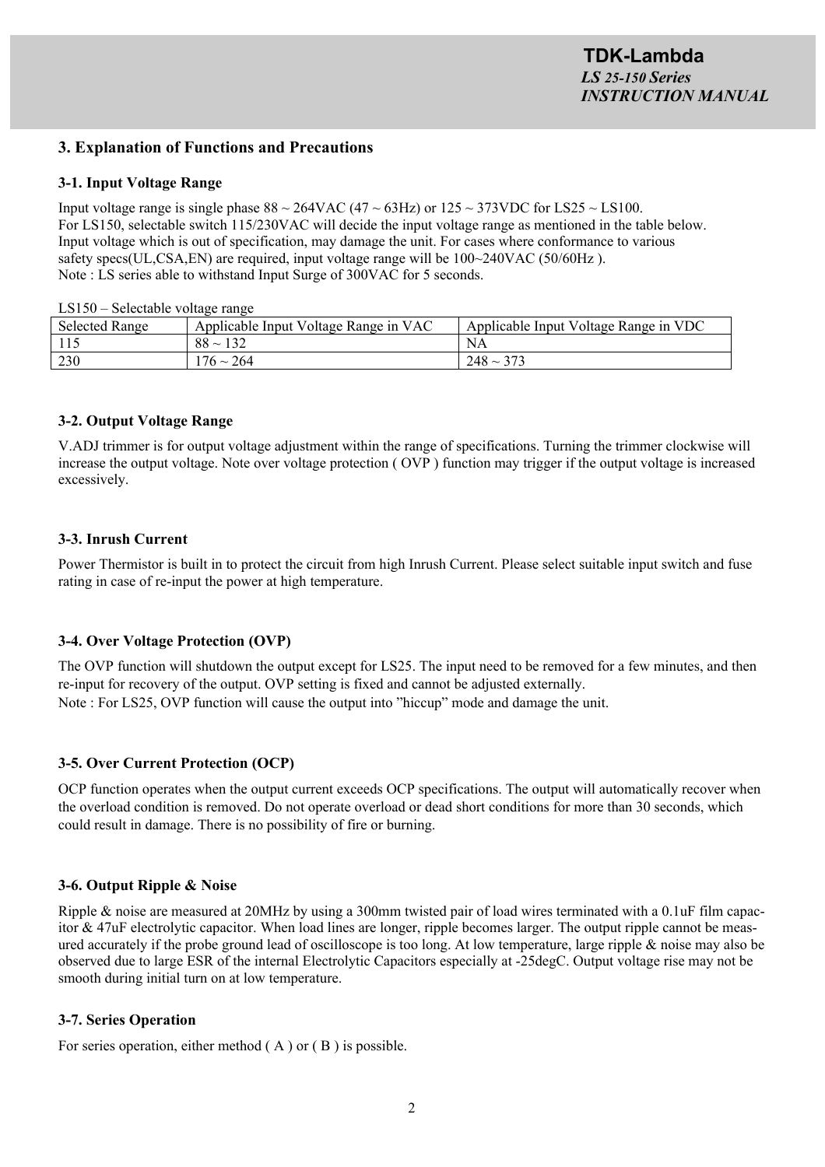### **3. Explanation of Functions and Precautions**

### **3-1. Input Voltage Range**

Input voltage range is single phase  $88 \sim 264 \text{VAC}$  (47  $\sim 63 \text{Hz}$ ) or  $125 \sim 373 \text{VDC}$  for LS25  $\sim$  LS100. For LS150, selectable switch 115/230VAC will decide the input voltage range as mentioned in the table below. Input voltage which is out of specification, may damage the unit. For cases where conformance to various safety specs(UL,CSA,EN) are required, input voltage range will be  $100~240$ VAC (50/60Hz). Note : LS series able to withstand Input Surge of 300VAC for 5 seconds.

LS150 – Selectable voltage range

| <b>Selected Range</b> | Applicable Input Voltage Range in VAC | Applicable Input Voltage Range in VDC |
|-----------------------|---------------------------------------|---------------------------------------|
|                       | $88 \sim 132$                         | NA                                    |
| 230                   | $176 \sim 264$                        | $248 \sim 37$ ?                       |

### **3-2. Output Voltage Range**

V.ADJ trimmer is for output voltage adjustment within the range of specifications. Turning the trimmer clockwise will increase the output voltage. Note over voltage protection ( OVP ) function may trigger if the output voltage is increased excessively.

### **3-3. Inrush Current**

Power Thermistor is built in to protect the circuit from high Inrush Current. Please select suitable input switch and fuse rating in case of re-input the power at high temperature.

### **3-4. Over Voltage Protection (OVP)**

The OVP function will shutdown the output except for LS25. The input need to be removed for a few minutes, and then re-input for recovery of the output. OVP setting is fixed and cannot be adjusted externally. Note : For LS25, OVP function will cause the output into "hiccup" mode and damage the unit.

### **3-5. Over Current Protection (OCP)**

OCP function operates when the output current exceeds OCP specifications. The output will automatically recover when the overload condition is removed. Do not operate overload or dead short conditions for more than 30 seconds, which could result in damage. There is no possibility of fire or burning.

### **3-6. Output Ripple & Noise**

Ripple & noise are measured at 20MHz by using a 300mm twisted pair of load wires terminated with a 0.1uF film capacitor & 47uF electrolytic capacitor. When load lines are longer, ripple becomes larger. The output ripple cannot be measured accurately if the probe ground lead of oscilloscope is too long. At low temperature, large ripple & noise may also be observed due to large ESR of the internal Electrolytic Capacitors especially at -25degC. Output voltage rise may not be smooth during initial turn on at low temperature.

### **3-7. Series Operation**

For series operation, either method (A) or (B) is possible.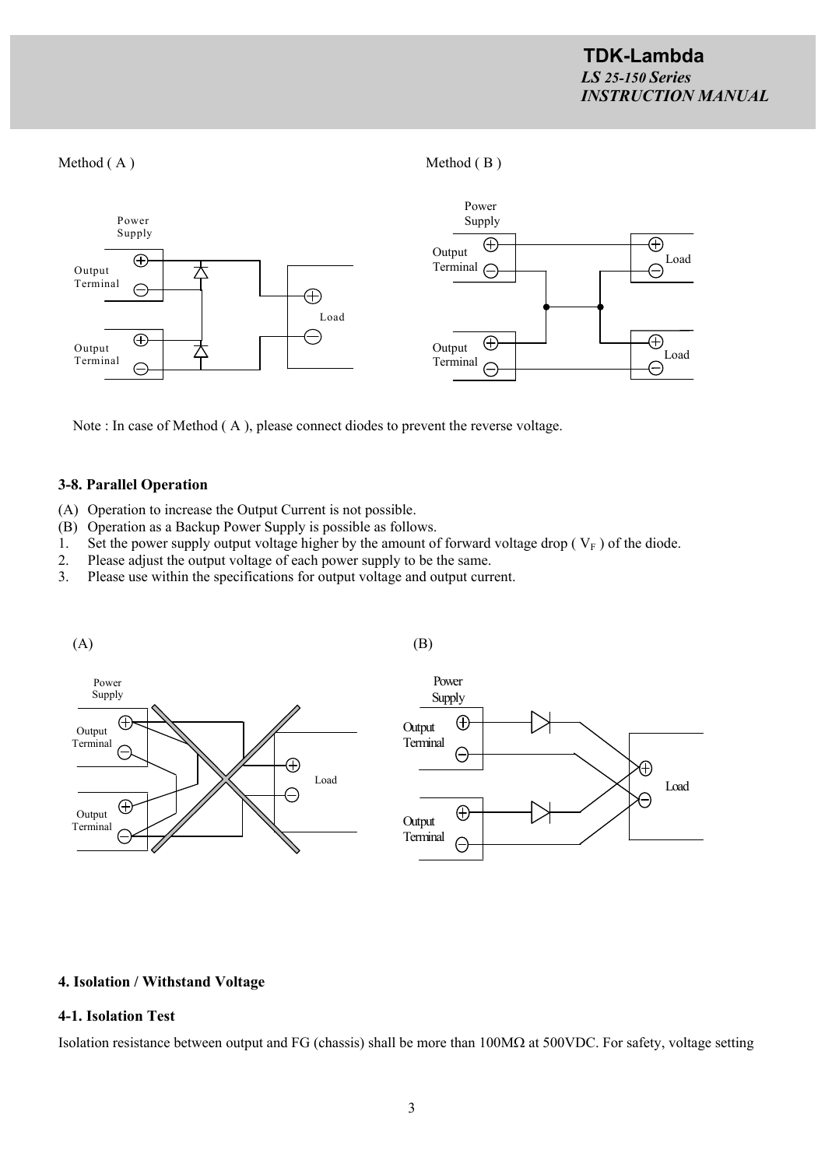### Method ( A ) Method ( B )



Note : In case of Method ( A ), please connect diodes to prevent the reverse voltage.

### **3-8. Parallel Operation**

- (A) Operation to increase the Output Current is not possible.
- (B) Operation as a Backup Power Supply is possible as follows.
- 1. Set the power supply output voltage higher by the amount of forward voltage drop ( $V_F$ ) of the diode.
- 2. Please adjust the output voltage of each power supply to be the same.
- 3. Please use within the specifications for output voltage and output current.



### **4. Isolation / Withstand Voltage**

### **4-1. Isolation Test**

Isolation resistance between output and FG (chassis) shall be more than  $100M\Omega$  at 500VDC. For safety, voltage setting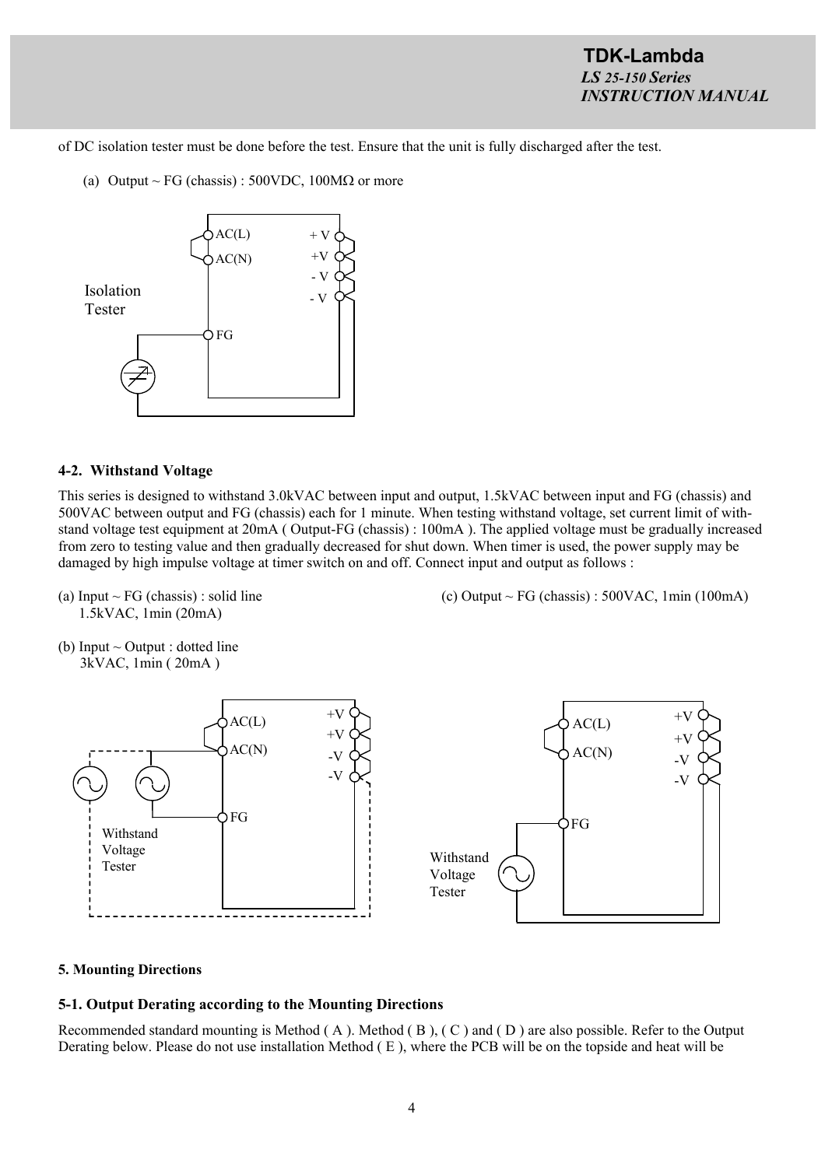of DC isolation tester must be done before the test. Ensure that the unit is fully discharged after the test.

(a) Output ~ FG (chassis) :  $500VDC$ ,  $100M\Omega$  or more



### **4-2. Withstand Voltage**

This series is designed to withstand 3.0kVAC between input and output, 1.5kVAC between input and FG (chassis) and 500VAC between output and FG (chassis) each for 1 minute. When testing withstand voltage, set current limit of withstand voltage test equipment at 20mA ( Output-FG (chassis) : 100mA ). The applied voltage must be gradually increased from zero to testing value and then gradually decreased for shut down. When timer is used, the power supply may be damaged by high impulse voltage at timer switch on and off. Connect input and output as follows :

1.5kVAC, 1min (20mA)

(a) Input ~ FG (chassis) : solid line (c) Output ~ FG (chassis) :  $500VAC$ , 1min (100mA)

(b) Input  $\sim$  Output : dotted line 3kVAC, 1min ( 20mA )



### **5. Mounting Directions**

### **5-1. Output Derating according to the Mounting Directions**

Recommended standard mounting is Method ( A ). Method ( B ), ( C ) and ( D ) are also possible. Refer to the Output Derating below. Please do not use installation Method ( E ), where the PCB will be on the topside and heat will be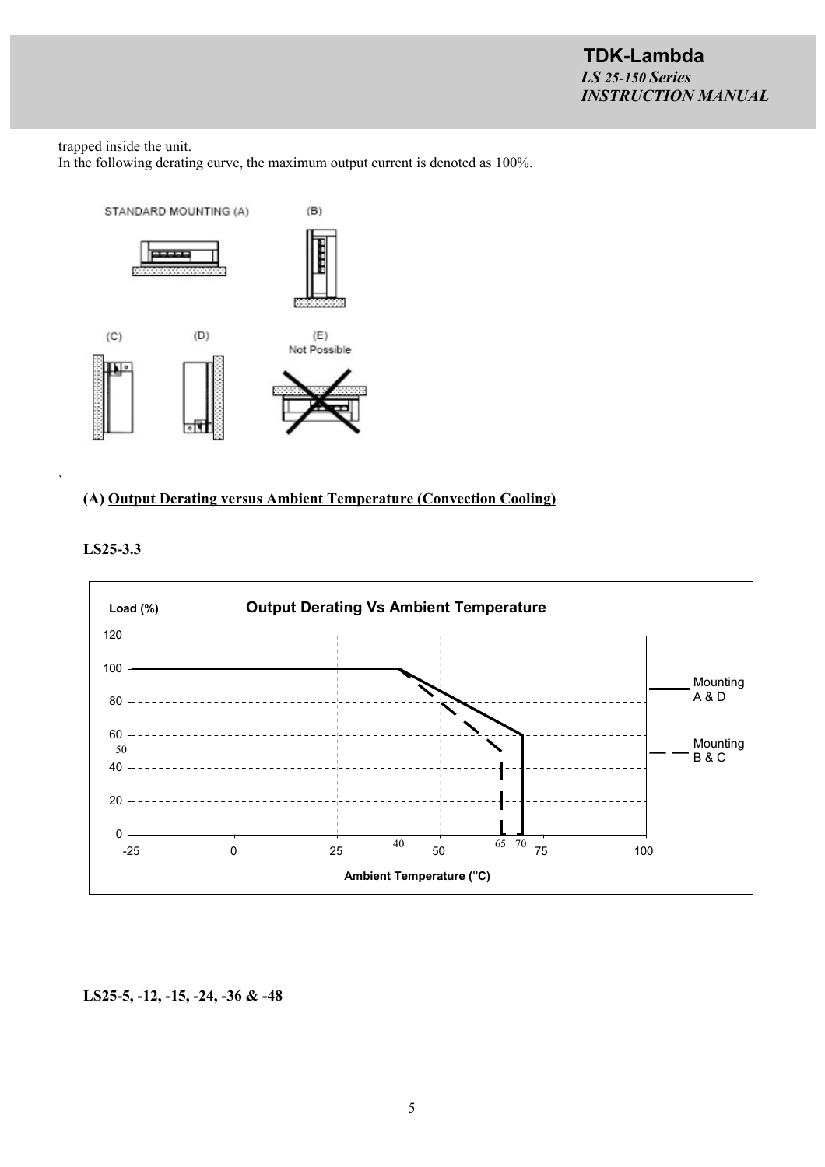trapped inside the unit. In the following derating curve, the maximum output current is denoted as 100%.



### **(A) Output Derating versus Ambient Temperature (Convection Cooling)**





`

**LS25-5, -12, -15, -24, -36 & -48**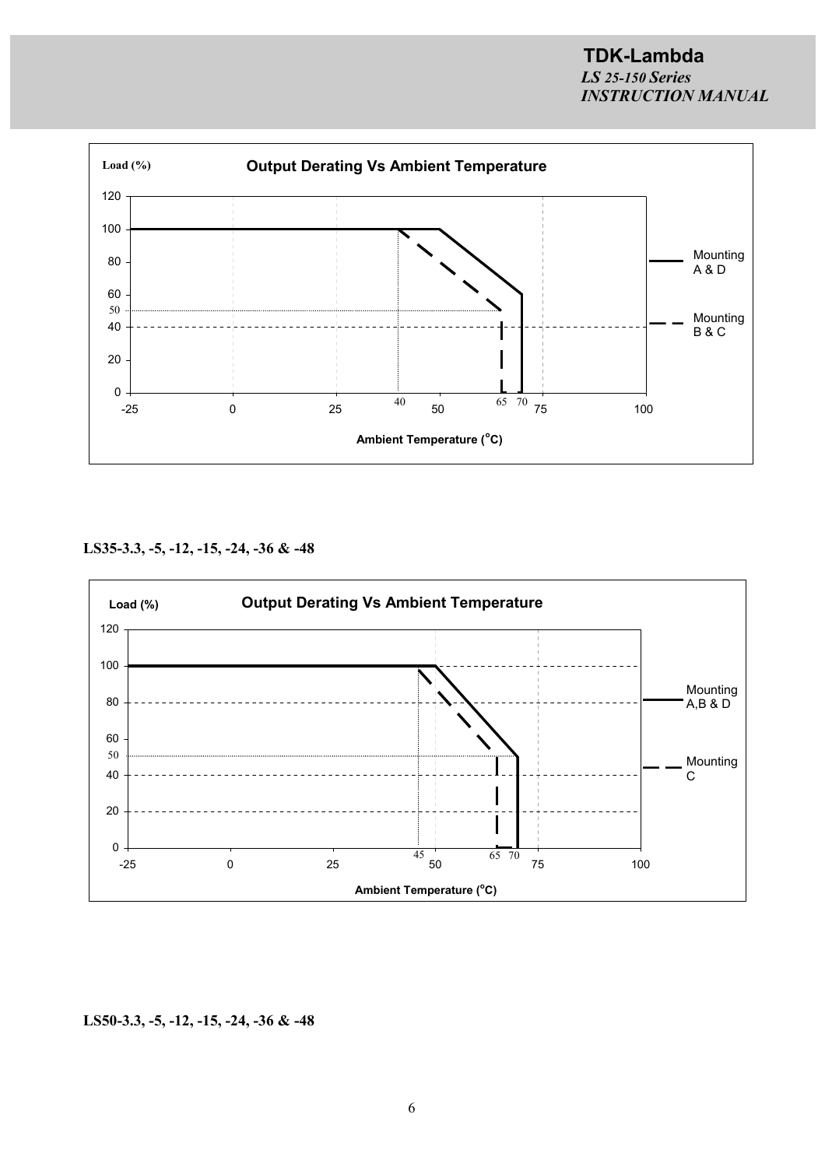

**LS35-3.3, -5, -12, -15, -24, -36 & -48**



**LS50-3.3, -5, -12, -15, -24, -36 & -48**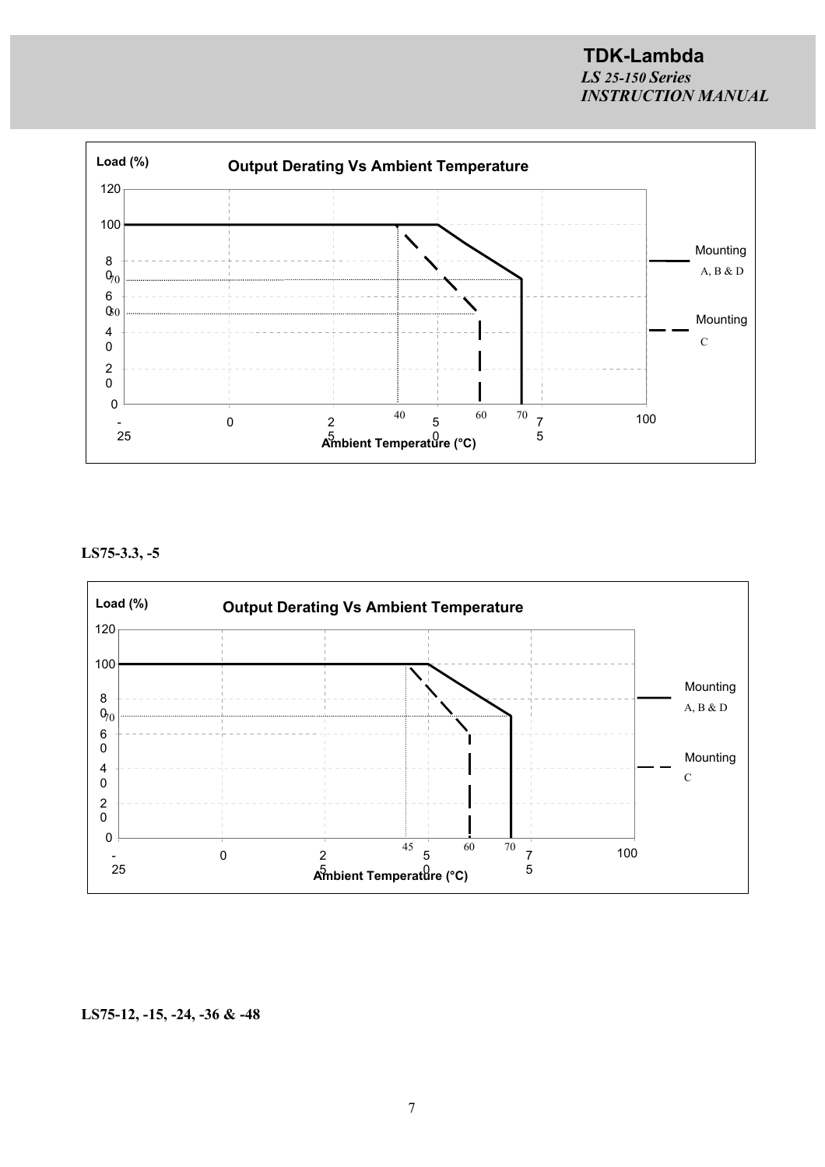

**LS75-3.3, -5**



### **LS75-12, -15, -24, -36 & -48**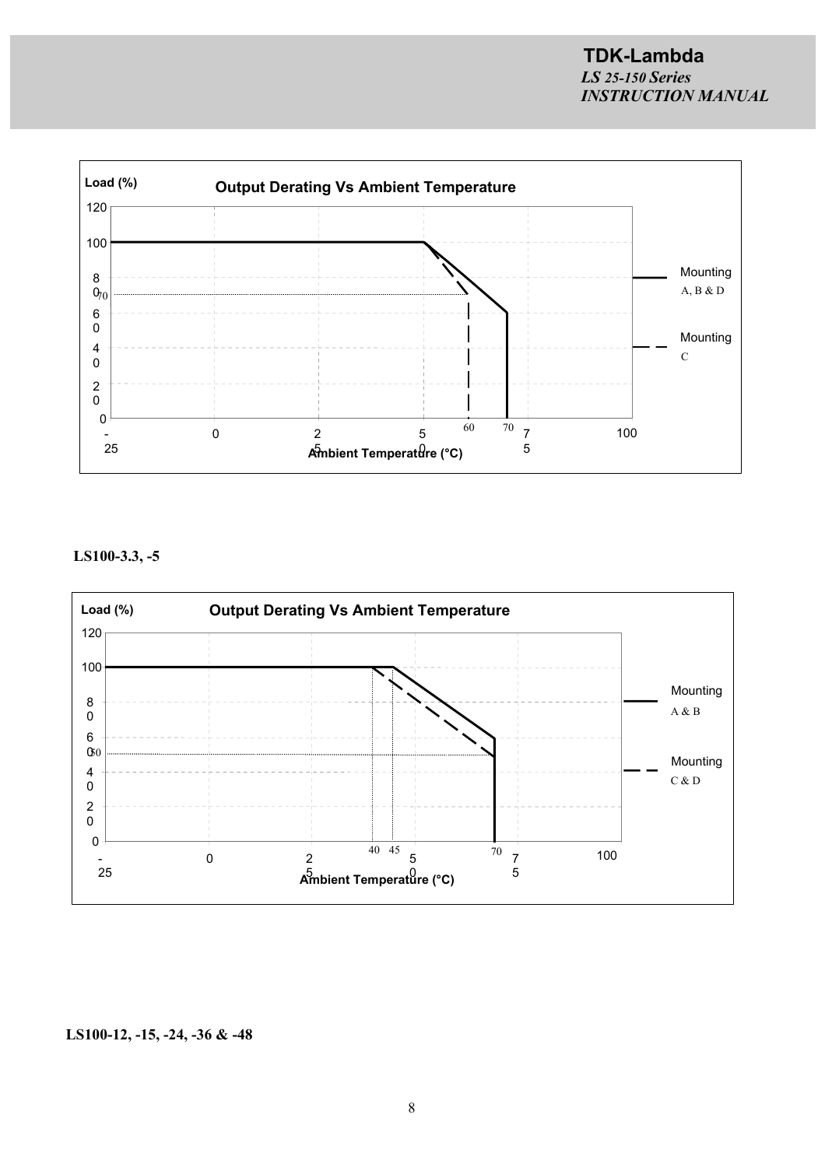

**LS100-3.3, -5**



### **LS100-12, -15, -24, -36 & -48**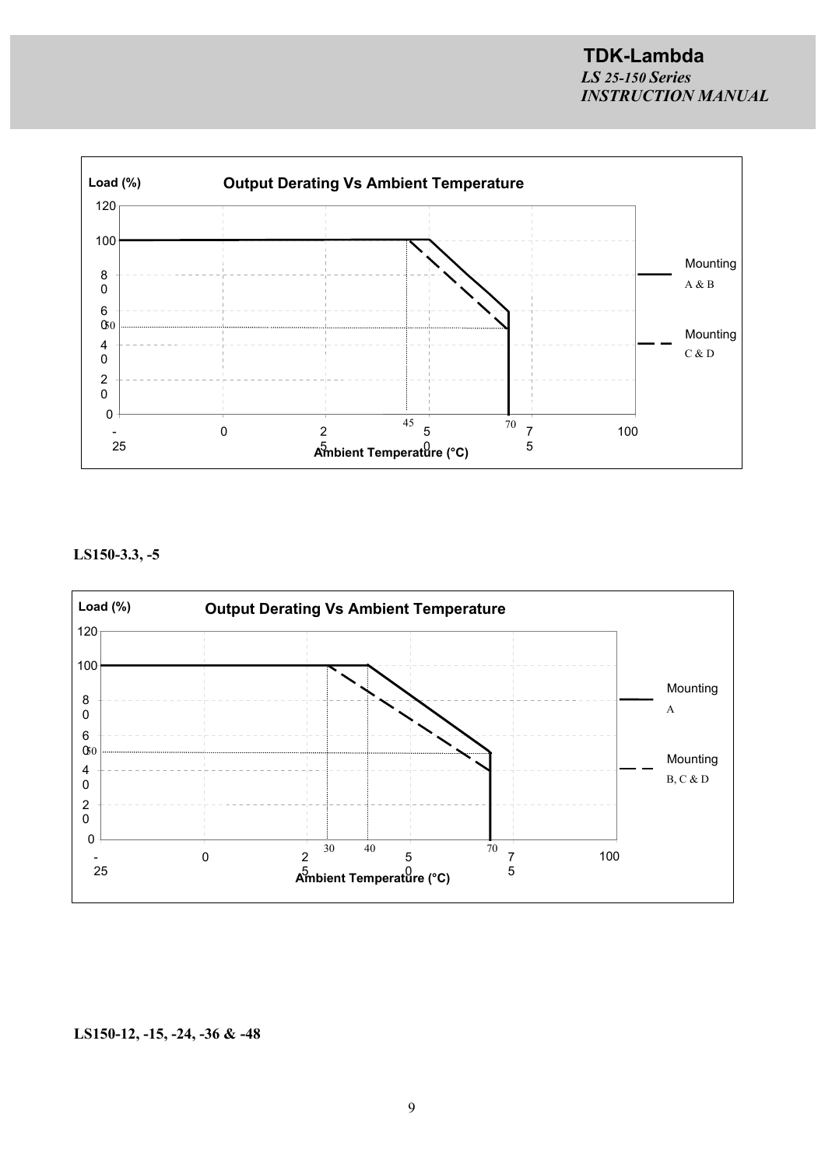

**LS150-3.3, -5**



### **LS150-12, -15, -24, -36 & -48**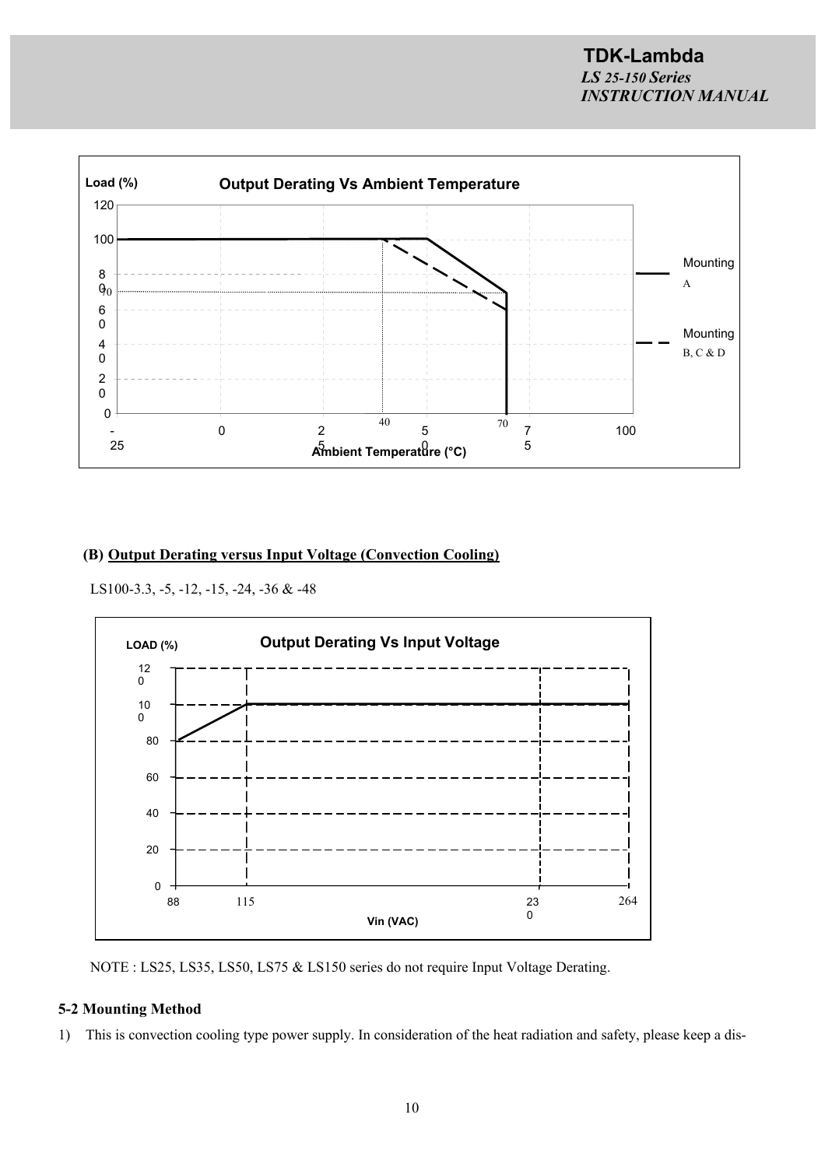

### **(B) Output Derating versus Input Voltage (Convection Cooling)**

LS100-3.3, -5, -12, -15, -24, -36 & -48



NOTE : LS25, LS35, LS50, LS75 & LS150 series do not require Input Voltage Derating.

### **5-2 Mounting Method**

1) This is convection cooling type power supply. In consideration of the heat radiation and safety, please keep a dis-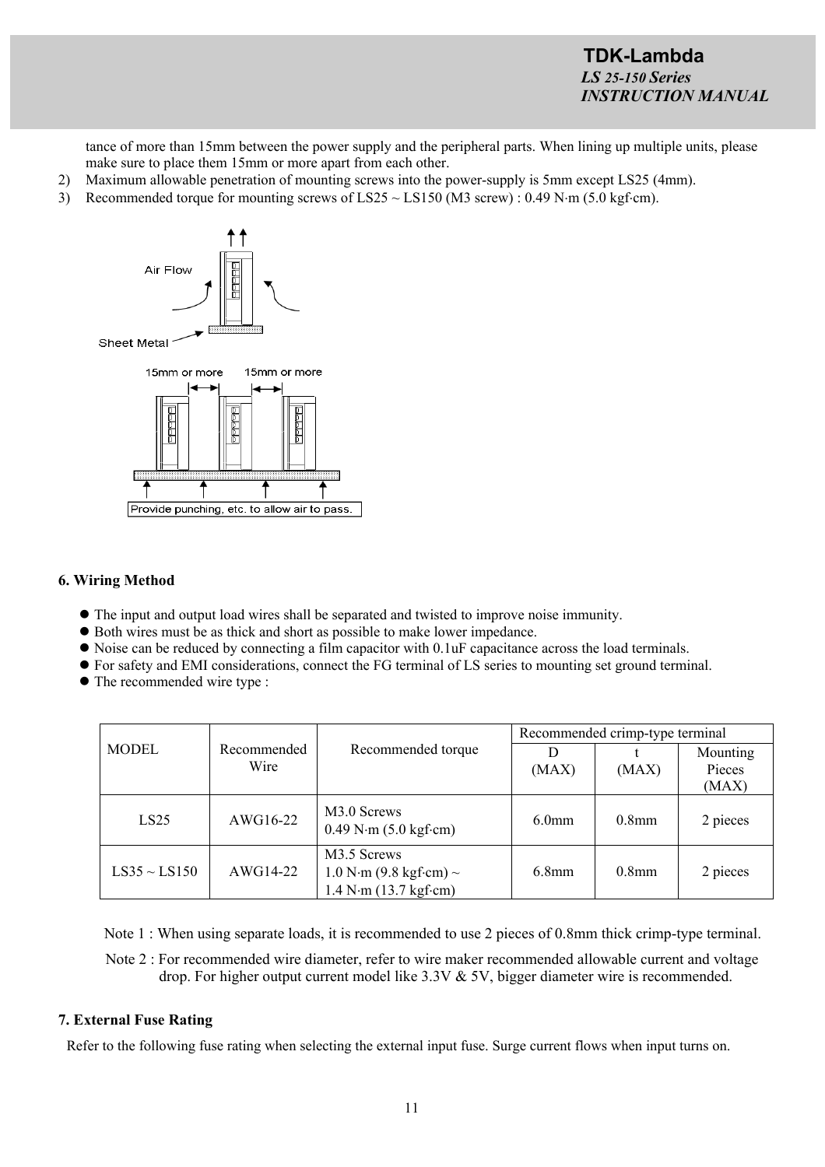tance of more than 15mm between the power supply and the peripheral parts. When lining up multiple units, please make sure to place them 15mm or more apart from each other.

- 2) Maximum allowable penetration of mounting screws into the power-supply is 5mm except LS25 (4mm).
- 3) Recommended torque for mounting screws of LS25  $\sim$  LS150 (M3 screw) : 0.49 N·m (5.0 kgf·cm).



### **6. Wiring Method**

- The input and output load wires shall be separated and twisted to improve noise immunity.
- Both wires must be as thick and short as possible to make lower impedance.
- Noise can be reduced by connecting a film capacitor with 0.1uF capacitance across the load terminals.
- For safety and EMI considerations, connect the FG terminal of LS series to mounting set ground terminal.
- The recommended wire type :

|                   | Recommended<br>Wire |                                                                       | Recommended crimp-type terminal |                   |                    |
|-------------------|---------------------|-----------------------------------------------------------------------|---------------------------------|-------------------|--------------------|
| <b>MODEL</b>      |                     | Recommended torque                                                    | D<br>(MAX)                      | (MAX)             | Mounting<br>Pieces |
|                   |                     |                                                                       |                                 |                   | (MAX)              |
| LS25              | AWG16-22            | M3.0 Screws<br>$0.49$ N $\cdot$ m $(5.0 \text{ kgf} \cdot \text{cm})$ | 6.0 <sub>mm</sub>               | 0.8 <sub>mm</sub> | 2 pieces           |
| $LS35 \sim LS150$ | $AWG14-22$          | M3.5 Screws<br>$1.0 N·m (9.8 kgf·cm)$ ~<br>1.4 N·m (13.7 kgf·cm)      | 6.8 <sub>mm</sub>               | $0.8$ mm          | 2 pieces           |

Note 1 : When using separate loads, it is recommended to use 2 pieces of 0.8mm thick crimp-type terminal.

Note 2 : For recommended wire diameter, refer to wire maker recommended allowable current and voltage drop. For higher output current model like 3.3V & 5V, bigger diameter wire is recommended.

### **7. External Fuse Rating**

Refer to the following fuse rating when selecting the external input fuse. Surge current flows when input turns on.